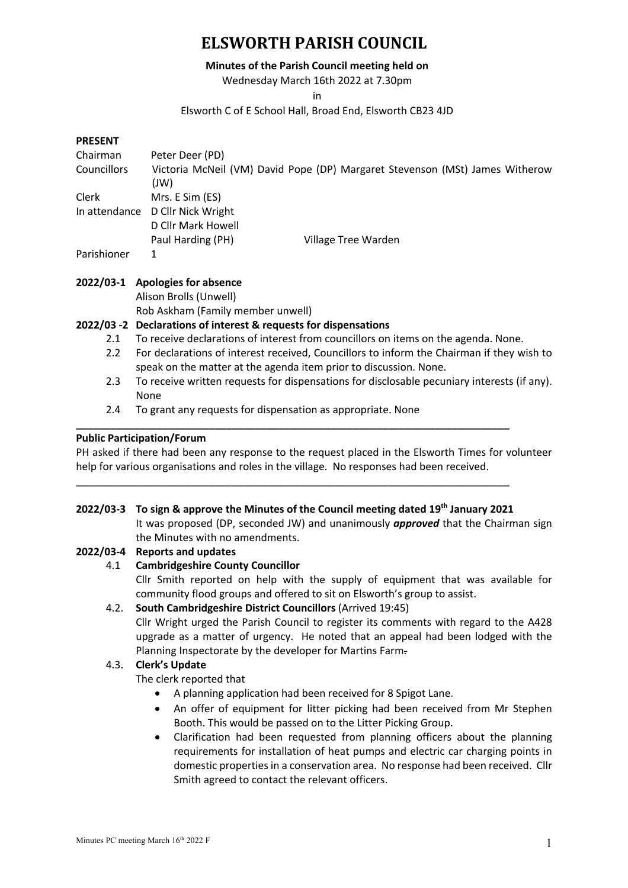#### **Minutes of the Parish Council meeting held on**

Wednesday March 16th 2022 at 7.30pm

in

## Elsworth C of E School Hall, Broad End, Elsworth CB23 4JD

#### **PRESENT**

| Chairman<br><b>Councillors</b> | Peter Deer (PD)<br>(W)           | Victoria McNeil (VM) David Pope (DP) Margaret Stevenson (MSt) James Witherow |
|--------------------------------|----------------------------------|------------------------------------------------------------------------------|
| Clerk                          | Mrs. E Sim (ES)                  |                                                                              |
|                                | In attendance D Cllr Nick Wright |                                                                              |
|                                | D Cllr Mark Howell               |                                                                              |
|                                | Paul Harding (PH)                | Village Tree Warden                                                          |
| Parishioner                    | 1                                |                                                                              |

## **2022/03-1 Apologies for absence**

Alison Brolls (Unwell)

Rob Askham (Family member unwell)

## **2022/03 -2 Declarations of interest & requests for dispensations**

- 2.1 To receive declarations of interest from councillors on items on the agenda. None.
- 2.2 For declarations of interest received, Councillors to inform the Chairman if they wish to speak on the matter at the agenda item prior to discussion. None.
- 2.3 To receive written requests for dispensations for disclosable pecuniary interests (if any). None
- 2.4 To grant any requests for dispensation as appropriate. None

# **Public Participation/Forum**

PH asked if there had been any response to the request placed in the Elsworth Times for volunteer help for various organisations and roles in the village. No responses had been received.

**\_\_\_\_\_\_\_\_\_\_\_\_\_\_\_\_\_\_\_\_\_\_\_\_\_\_\_\_\_\_\_\_\_\_\_\_\_\_\_\_\_\_\_\_\_\_\_\_\_\_\_\_\_\_\_\_\_\_\_\_\_\_\_\_\_\_\_\_\_\_\_\_\_\_\_**

\_\_\_\_\_\_\_\_\_\_\_\_\_\_\_\_\_\_\_\_\_\_\_\_\_\_\_\_\_\_\_\_\_\_\_\_\_\_\_\_\_\_\_\_\_\_\_\_\_\_\_\_\_\_\_\_\_\_\_\_\_\_\_\_\_\_\_\_\_\_\_\_\_\_\_

# **2022/03-3 To sign & approve the Minutes of the Council meeting dated 19th January 2021** It was proposed (DP, seconded JW) and unanimously *approved* that the Chairman sign the Minutes with no amendments.

### **2022/03-4 Reports and updates**

4.1 **Cambridgeshire County Councillor**

Cllr Smith reported on help with the supply of equipment that was available for community flood groups and offered to sit on Elsworth's group to assist.

4.2. **South Cambridgeshire District Councillors** (Arrived 19:45)

Cllr Wright urged the Parish Council to register its comments with regard to the A428 upgrade as a matter of urgency. He noted that an appeal had been lodged with the Planning Inspectorate by the developer for Martins Farm.

# 4.3. **Clerk's Update**

The clerk reported that

- A planning application had been received for 8 Spigot Lane.
- An offer of equipment for litter picking had been received from Mr Stephen Booth. This would be passed on to the Litter Picking Group.
- Clarification had been requested from planning officers about the planning requirements for installation of heat pumps and electric car charging points in domestic properties in a conservation area. No response had been received. Cllr Smith agreed to contact the relevant officers.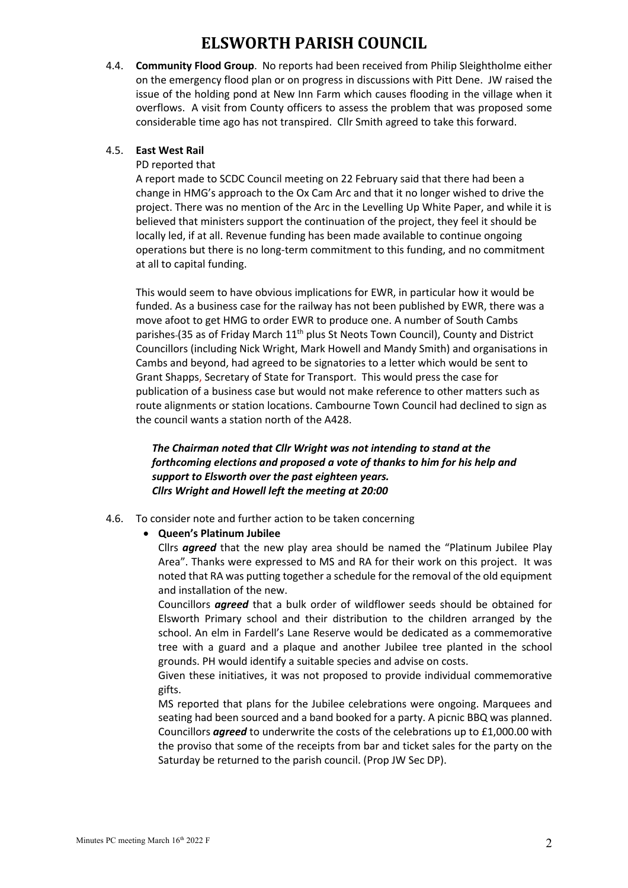4.4. **Community Flood Group**. No reports had been received from Philip Sleightholme either on the emergency flood plan or on progress in discussions with Pitt Dene. JW raised the issue of the holding pond at New Inn Farm which causes flooding in the village when it overflows. A visit from County officers to assess the problem that was proposed some considerable time ago has not transpired. Cllr Smith agreed to take this forward.

# 4.5. **East West Rail**

#### PD reported that

A report made to SCDC Council meeting on 22 February said that there had been a change in HMG's approach to the Ox Cam Arc and that it no longer wished to drive the project. There was no mention of the Arc in the Levelling Up White Paper, and while it is believed that ministers support the continuation of the project, they feel it should be locally led, if at all. Revenue funding has been made available to continue ongoing operations but there is no long-term commitment to this funding, and no commitment at all to capital funding.

This would seem to have obvious implications for EWR, in particular how it would be funded. As a business case for the railway has not been published by EWR, there was a move afoot to get HMG to order EWR to produce one. A number of South Cambs parishes-(35 as of Friday March 11<sup>th</sup> plus St Neots Town Council), County and District Councillors (including Nick Wright, Mark Howell and Mandy Smith) and organisations in Cambs and beyond, had agreed to be signatories to a letter which would be sent to Grant Shapps, Secretary of State for Transport. This would press the case for publication of a business case but would not make reference to other matters such as route alignments or station locations. Cambourne Town Council had declined to sign as the council wants a station north of the A428.

# *The Chairman noted that Cllr Wright was not intending to stand at the forthcoming elections and proposed a vote of thanks to him for his help and support to Elsworth over the past eighteen years. Cllrs Wright and Howell left the meeting at 20:00*

4.6. To consider note and further action to be taken concerning

#### • **Queen's Platinum Jubilee**

Cllrs *agreed* that the new play area should be named the "Platinum Jubilee Play Area". Thanks were expressed to MS and RA for their work on this project. It was noted that RA was putting together a schedule for the removal of the old equipment and installation of the new.

Councillors *agreed* that a bulk order of wildflower seeds should be obtained for Elsworth Primary school and their distribution to the children arranged by the school. An elm in Fardell's Lane Reserve would be dedicated as a commemorative tree with a guard and a plaque and another Jubilee tree planted in the school grounds. PH would identify a suitable species and advise on costs.

Given these initiatives, it was not proposed to provide individual commemorative gifts.

MS reported that plans for the Jubilee celebrations were ongoing. Marquees and seating had been sourced and a band booked for a party. A picnic BBQ was planned. Councillors *agreed* to underwrite the costs of the celebrations up to £1,000.00 with the proviso that some of the receipts from bar and ticket sales for the party on the Saturday be returned to the parish council. (Prop JW Sec DP).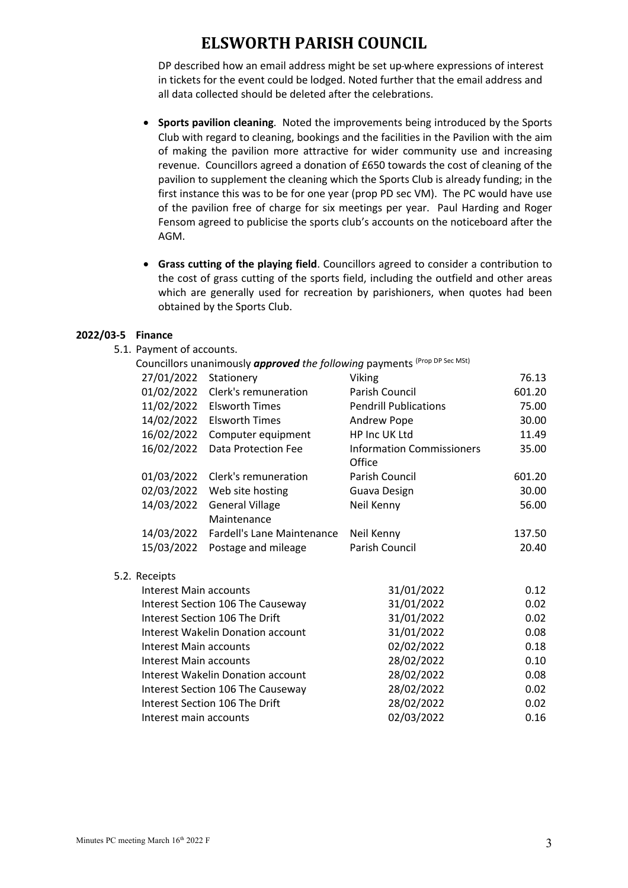DP described how an email address might be set up-where expressions of interest in tickets for the event could be lodged. Noted further that the email address and all data collected should be deleted after the celebrations.

- **Sports pavilion cleaning**. Noted the improvements being introduced by the Sports Club with regard to cleaning, bookings and the facilities in the Pavilion with the aim of making the pavilion more attractive for wider community use and increasing revenue. Councillors agreed a donation of £650 towards the cost of cleaning of the pavilion to supplement the cleaning which the Sports Club is already funding; in the first instance this was to be for one year (prop PD sec VM). The PC would have use of the pavilion free of charge for six meetings per year. Paul Harding and Roger Fensom agreed to publicise the sports club's accounts on the noticeboard after the AGM.
- **Grass cutting of the playing field**. Councillors agreed to consider a contribution to the cost of grass cutting of the sports field, including the outfield and other areas which are generally used for recreation by parishioners, when quotes had been obtained by the Sports Club.

## **2022/03-5 Finance**

5.1. Payment of accounts.

|                        |                               | Councillors unanimously <b>approved</b> the following payments <sup>(Prop DP Sec MSt)</sup> |                                            |        |
|------------------------|-------------------------------|---------------------------------------------------------------------------------------------|--------------------------------------------|--------|
|                        | 27/01/2022                    | Stationery                                                                                  | <b>Viking</b>                              | 76.13  |
|                        | 01/02/2022                    | Clerk's remuneration                                                                        | Parish Council                             | 601.20 |
|                        | 11/02/2022                    | Elsworth Times                                                                              | <b>Pendrill Publications</b>               | 75.00  |
|                        | 14/02/2022                    | <b>Elsworth Times</b>                                                                       | Andrew Pope                                | 30.00  |
|                        | 16/02/2022                    | Computer equipment                                                                          | HP Inc UK Ltd                              | 11.49  |
|                        | 16/02/2022                    | Data Protection Fee                                                                         | <b>Information Commissioners</b><br>Office | 35.00  |
|                        | 01/03/2022                    | Clerk's remuneration                                                                        | Parish Council                             | 601.20 |
|                        | 02/03/2022                    | Web site hosting                                                                            | Guava Design                               | 30.00  |
|                        | 14/03/2022                    | <b>General Village</b><br>Maintenance                                                       | Neil Kenny                                 | 56.00  |
|                        | 14/03/2022                    | Fardell's Lane Maintenance                                                                  | Neil Kenny                                 | 137.50 |
|                        | 15/03/2022                    | Postage and mileage                                                                         | Parish Council                             | 20.40  |
|                        | 5.2. Receipts                 |                                                                                             |                                            |        |
|                        | Interest Main accounts        |                                                                                             | 31/01/2022                                 | 0.12   |
|                        |                               | Interest Section 106 The Causeway                                                           | 31/01/2022                                 | 0.02   |
|                        |                               | Interest Section 106 The Drift                                                              | 31/01/2022                                 | 0.02   |
|                        |                               | Interest Wakelin Donation account                                                           | 31/01/2022                                 | 0.08   |
|                        | Interest Main accounts        |                                                                                             | 02/02/2022                                 | 0.18   |
|                        | <b>Interest Main accounts</b> |                                                                                             | 28/02/2022                                 | 0.10   |
|                        |                               | Interest Wakelin Donation account                                                           | 28/02/2022                                 | 0.08   |
|                        |                               | Interest Section 106 The Causeway                                                           | 28/02/2022                                 | 0.02   |
|                        |                               | Interest Section 106 The Drift                                                              | 28/02/2022                                 | 0.02   |
| Interest main accounts |                               |                                                                                             | 02/03/2022                                 | 0.16   |